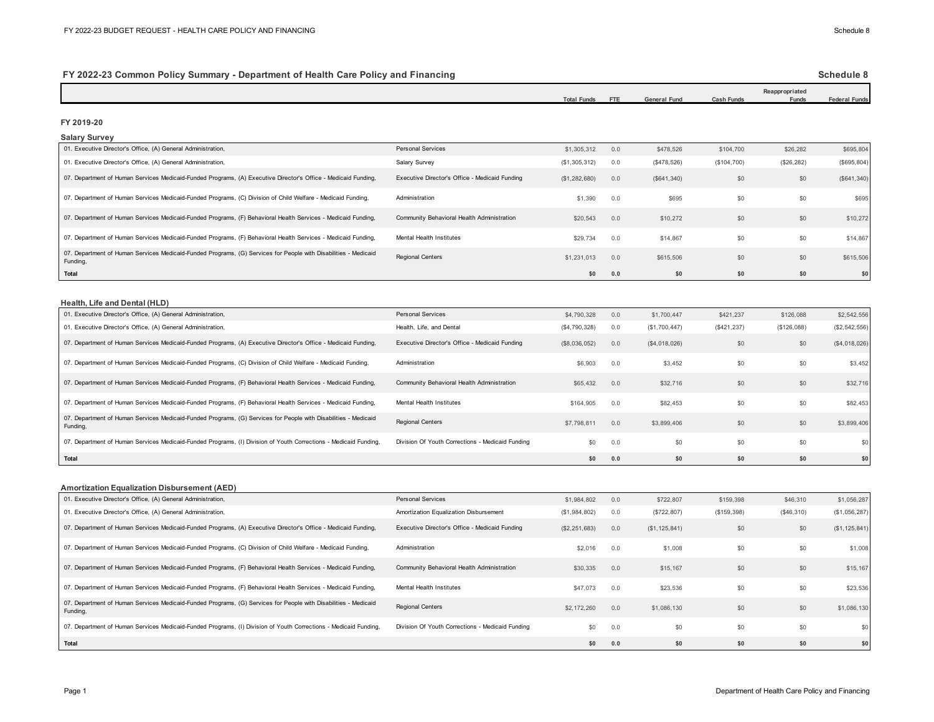# **FY 2022-23 Common Policy Summary - Department of Health Care Policy and Financing**

### **Schedule 8**

|                                                                                                                             |                                                  | <b>Total Funds</b> | <b>FTE</b> | <b>General Fund</b> | <b>Cash Funds</b> | Reappropriated<br>Funds | <b>Federal Funds</b> |
|-----------------------------------------------------------------------------------------------------------------------------|--------------------------------------------------|--------------------|------------|---------------------|-------------------|-------------------------|----------------------|
|                                                                                                                             |                                                  |                    |            |                     |                   |                         |                      |
| FY 2019-20<br><b>Salary Survey</b>                                                                                          |                                                  |                    |            |                     |                   |                         |                      |
| 01. Executive Director's Office, (A) General Administration,                                                                | Personal Services                                | \$1,305,312        | 0.0        | \$478,526           | \$104,700         | \$26,282                | \$695,804            |
| 01. Executive Director's Office, (A) General Administration,                                                                | Salary Survey                                    | (\$1,305,312)      | 0.0        | (\$478,526)         | (\$104,700)       | (\$26, 282)             | (\$695, 804)         |
| 07. Department of Human Services Medicaid-Funded Programs, (A) Executive Director's Office - Medicaid Funding,              | Executive Director's Office - Medicaid Funding   | (\$1,282,680)      | 0.0        | (S641, 340)         | \$0               | \$0                     | (S641, 340)          |
| 07. Department of Human Services Medicaid-Funded Programs, (C) Division of Child Welfare - Medicaid Funding,                | Administration                                   | \$1,390            | 0.0        | \$695               | \$0               | \$0                     | \$695                |
| 07. Department of Human Services Medicaid-Funded Programs, (F) Behavioral Health Services - Medicaid Funding,               | Community Behavioral Health Administration       | \$20,543           | 0.0        | \$10,272            | \$0               | \$0                     | \$10,272             |
| 07. Department of Human Services Medicaid-Funded Programs, (F) Behavioral Health Services - Medicaid Funding,               | Mental Health Institutes                         | \$29,734           | 0.0        | \$14,867            | \$0               | \$0                     | \$14,867             |
| 07. Department of Human Services Medicaid-Funded Programs, (G) Services for People with Disabilities - Medicaid<br>Funding, | <b>Regional Centers</b>                          | \$1,231,013        | 0.0        | \$615,506           | \$0               | \$0                     | \$615,506            |
| Total                                                                                                                       |                                                  | \$0                | 0.0        | \$0                 | \$0               | \$0                     | \$0                  |
| Health, Life and Dental (HLD)<br>01. Executive Director's Office, (A) General Administration,                               | Personal Services                                | \$4,790,328        | 0.0        | \$1,700,447         | \$421,237         | \$126,088               | \$2,542,556          |
|                                                                                                                             |                                                  |                    |            |                     |                   |                         |                      |
| 01. Executive Director's Office, (A) General Administration,                                                                | Health, Life, and Dental                         | (\$4,790,328)      | 0.0        | (\$1,700,447)       | (\$421, 237)      | (\$126,088)             | (\$2,542,556)        |
| 07. Department of Human Services Medicaid-Funded Programs, (A) Executive Director's Office - Medicaid Funding,              | Executive Director's Office - Medicaid Funding   |                    |            |                     |                   |                         |                      |
|                                                                                                                             |                                                  | (\$8,036,052)      | 0.0        | (\$4,018,026)       | \$0               | \$0                     | (\$4,018,026)        |
| 07. Department of Human Services Medicaid-Funded Programs, (C) Division of Child Welfare - Medicaid Funding,                | Administration                                   | \$6,903            | 0.0        | \$3,452             | \$0               | \$0                     | \$3,452              |
| 07. Department of Human Services Medicaid-Funded Programs, (F) Behavioral Health Services - Medicaid Funding,               | Community Behavioral Health Administration       | \$65,432           | 0.0        | \$32,716            | \$0               | \$0                     | \$32,716             |
| 07. Department of Human Services Medicaid-Funded Programs, (F) Behavioral Health Services - Medicaid Funding,               | Mental Health Institutes                         | \$164,905          | 0.0        | \$82,453            | \$0               | \$0                     | \$82,453             |
| 07. Department of Human Services Medicaid-Funded Programs, (G) Services for People with Disabilities - Medicaid<br>Funding, | Regional Centers                                 | \$7,798,811        | 0.0        | \$3,899,406         | \$0               | \$0                     | \$3,899,406          |
| 07. Department of Human Services Medicaid-Funded Programs, (I) Division of Youth Corrections - Medicaid Funding,            | Division Of Youth Corrections - Medicaid Funding | \$0                | 0.0        | \$0                 | \$0               | \$0                     | \$0                  |
| <b>Total</b>                                                                                                                |                                                  | \$0                | 0.0        | \$0                 | \$0               | \$0                     | \$0                  |
| <b>Amortization Equalization Disbursement (AED)</b>                                                                         |                                                  |                    |            |                     |                   |                         |                      |
| 01. Executive Director's Office, (A) General Administration,                                                                | <b>Personal Services</b>                         | \$1,984,802        | 0.0        | \$722,807           | \$159,398         | \$46,310                | \$1,056,287          |
| 01. Executive Director's Office, (A) General Administration,                                                                | Amortization Equalization Disbursement           | (\$1,984,802)      | 0.0        | (\$722, 807)        | (\$159,398)       | (\$46,310)              | (\$1,056,287)        |
| 07. Department of Human Services Medicaid-Funded Programs, (A) Executive Director's Office - Medicaid Funding,              | Executive Director's Office - Medicaid Funding   | (\$2,251,683)      | 0.0        | (\$1, 125, 841)     | \$0               | \$0                     | (\$1, 125, 841)      |
| 07. Department of Human Services Medicaid-Funded Programs, (C) Division of Child Welfare - Medicaid Funding,                | Administration                                   | \$2,016            | 0.0        | \$1,008             | \$0               | \$0                     | \$1,008              |
| 07. Department of Human Services Medicaid-Funded Programs, (F) Behavioral Health Services - Medicaid Funding,               | Community Behavioral Health Administration       | \$30,335           | 0.0        | \$15,167            | \$0               | \$0                     | \$15,167             |
| 07. Department of Human Services Medicaid-Funded Programs, (F) Behavioral Health Services - Medicaid Funding,               | Mental Health Institutes                         | \$47,073           | 0.0        | \$23,536            | \$0               | \$0                     | \$23,536             |
| 07. Department of Human Services Medicaid-Funded Programs, (G) Services for People with Disabilities - Medicaid<br>Funding, | Regional Centers                                 | \$2,172,260        | 0.0        | \$1,086,130         | \$0               | \$0                     | \$1,086,130          |
|                                                                                                                             |                                                  |                    |            |                     |                   |                         |                      |

07. Department of Human Services Medicaid-Funded Programs, (I) Division of Youth Corrections - Medicaid Funding, Division Of Youth Corrections - Medicaid Funding Medicaid Funding 50 0.0 \$0 \$0 \$0 \$0 \$0 \$0 \$0 \$0 \$0 \$1

**\$0 0.0 \$0 \$0 \$0 \$0**

**Total**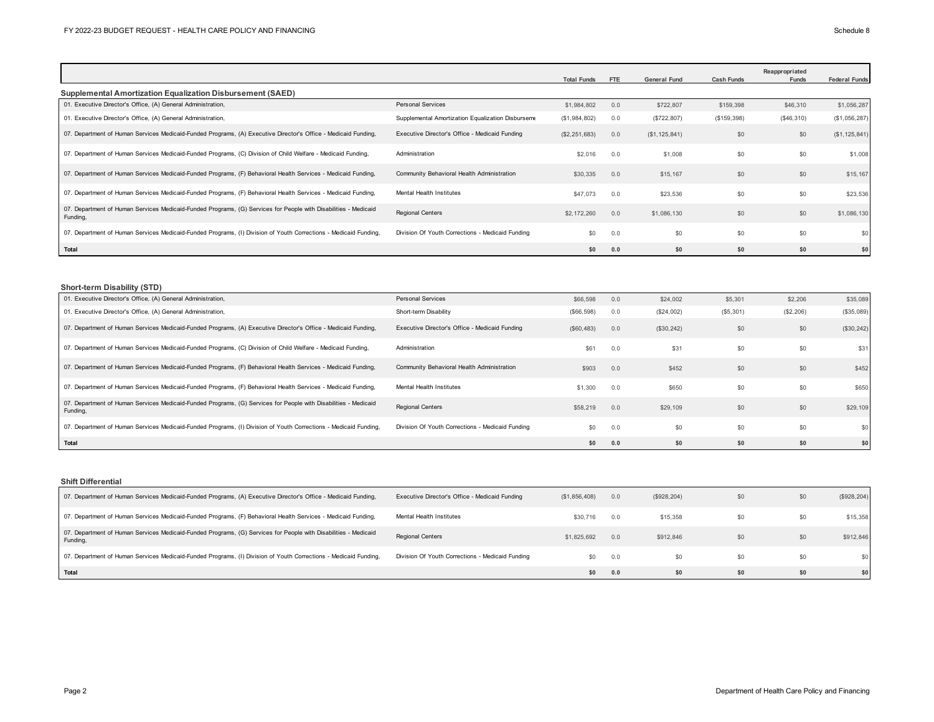|                                                                                                                             |                                                   | <b>Total Funds</b> | FTE | <b>General Fund</b> | <b>Cash Funds</b> | Reappropriated<br>Funds | <b>Federal Funds</b> |
|-----------------------------------------------------------------------------------------------------------------------------|---------------------------------------------------|--------------------|-----|---------------------|-------------------|-------------------------|----------------------|
| Supplemental Amortization Equalization Disbursement (SAED)                                                                  |                                                   |                    |     |                     |                   |                         |                      |
| 01. Executive Director's Office, (A) General Administration,                                                                | Personal Services                                 | \$1,984,802        | 0.0 | \$722,807           | \$159,398         | \$46,310                | \$1,056,287          |
| 01. Executive Director's Office, (A) General Administration,                                                                | Supplemental Amortization Equalization Disburseme | (\$1,984,802)      | 0.0 | (S722, 807)         | (\$159,398)       | (\$46,310)              | (\$1,056,287)        |
| 07. Department of Human Services Medicaid-Funded Programs, (A) Executive Director's Office - Medicaid Funding,              | Executive Director's Office - Medicaid Funding    | (\$2,251,683)      | 0.0 | (S1, 125, 841)      | \$0               | \$0                     | (S1, 125, 841)       |
| 07. Department of Human Services Medicaid-Funded Programs, (C) Division of Child Welfare - Medicaid Funding,                | Administration                                    | \$2,016            | 0.0 | \$1,008             | \$0               | \$0                     | \$1,008              |
| 07. Department of Human Services Medicaid-Funded Programs, (F) Behavioral Health Services - Medicaid Funding,               | Community Behavioral Health Administration        | \$30,335           | 0.0 | \$15,167            | \$0               | \$0                     | \$15,167             |
| 07. Department of Human Services Medicaid-Funded Programs, (F) Behavioral Health Services - Medicaid Funding,               | Mental Health Institutes                          | \$47,073           | 0.0 | \$23,536            | \$0               | \$0                     | \$23,536             |
| 07. Department of Human Services Medicaid-Funded Programs, (G) Services for People with Disabilities - Medicaid<br>Funding, | <b>Regional Centers</b>                           | \$2,172,260        | 0.0 | \$1,086,130         | \$0               | \$0                     | \$1,086,130          |
| 07. Department of Human Services Medicaid-Funded Programs, (I) Division of Youth Corrections - Medicaid Funding,            | Division Of Youth Corrections - Medicaid Funding  | \$0                | 0.0 | \$0                 | \$0               | \$0                     | \$0                  |
| Total                                                                                                                       |                                                   | \$0                | 0.0 | \$0                 | \$0               | \$0                     | \$0                  |

### **Short-term Disability (STD)**

| .<br>01. Executive Director's Office, (A) General Administration,                                                           | <b>Personal Services</b>                         | \$66,598    | 0.0 | \$24,002   | \$5,301   | \$2,206   | \$35,089   |
|-----------------------------------------------------------------------------------------------------------------------------|--------------------------------------------------|-------------|-----|------------|-----------|-----------|------------|
| 01. Executive Director's Office, (A) General Administration,                                                                | Short-term Disability                            | (\$66,598)  | 0.0 | (\$24,002) | (\$5,301) | (\$2,206) | (\$35,089) |
| 07. Department of Human Services Medicaid-Funded Programs, (A) Executive Director's Office - Medicaid Funding,              | Executive Director's Office - Medicaid Funding   | (\$60, 483) | 0.0 | (\$30,242) | \$0       | \$0       | (\$30,242) |
| 07. Department of Human Services Medicaid-Funded Programs, (C) Division of Child Welfare - Medicaid Funding,                | Administration                                   | \$61        | 0.0 | \$31       | \$0       | \$0       | \$31       |
| 07. Department of Human Services Medicaid-Funded Programs, (F) Behavioral Health Services - Medicaid Funding,               | Community Behavioral Health Administration       | \$903       | 0.0 | \$452      | \$0       | \$0       | \$452      |
| 07. Department of Human Services Medicaid-Funded Programs, (F) Behavioral Health Services - Medicaid Funding,               | Mental Health Institutes                         | \$1,300     | 0.0 | \$650      | \$0       | \$0       | \$650      |
| 07. Department of Human Services Medicaid-Funded Programs, (G) Services for People with Disabilities - Medicaid<br>Funding, | <b>Regional Centers</b>                          | \$58,219    | 0.0 | \$29,109   | \$0       | \$0       | \$29,109   |
| 07. Department of Human Services Medicaid-Funded Programs, (I) Division of Youth Corrections - Medicaid Funding,            | Division Of Youth Corrections - Medicaid Funding | \$0         | 0.0 | \$0        | \$0       | \$0       |            |
| Total                                                                                                                       |                                                  | \$0         | 0.0 | \$0        | \$0       | \$0       | \$0        |

**Shift Differential**

| 07. Department of Human Services Medicaid-Funded Programs, (A) Executive Director's Office - Medicaid Funding,              | Executive Director's Office - Medicaid Funding   | (\$1,856,408) | 0.0 | (S928, 204) | \$0 | \$0 | (\$928, 204) |
|-----------------------------------------------------------------------------------------------------------------------------|--------------------------------------------------|---------------|-----|-------------|-----|-----|--------------|
| 07. Department of Human Services Medicaid-Funded Programs, (F) Behavioral Health Services - Medicaid Funding,               | Mental Health Institutes                         | \$30,716      | 0.0 | \$15,358    | \$0 | \$0 | \$15,358     |
| 07. Department of Human Services Medicaid-Funded Programs, (G) Services for People with Disabilities - Medicaid<br>Funding, | <b>Regional Centers</b>                          | \$1,825,692   | 0.0 | \$912,846   | \$0 | \$0 | \$912,846    |
| 07. Department of Human Services Medicaid-Funded Programs, (I) Division of Youth Corrections - Medicaid Funding,            | Division Of Youth Corrections - Medicaid Funding | \$0           | 0.0 | \$0         | \$0 | \$0 |              |
| Total                                                                                                                       |                                                  | \$0           | 0.0 | \$0         | \$0 | \$0 |              |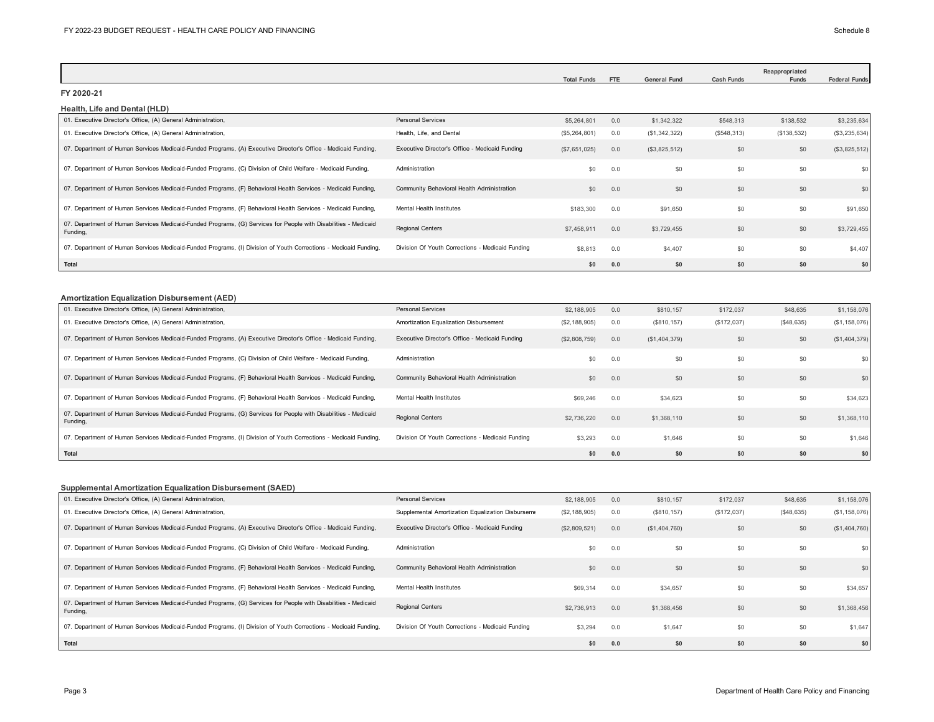|                                                                                                                             |                                                  | <b>Total Funds</b> | FTE | <b>General Fund</b> | <b>Cash Funds</b> | Reappropriated<br>Funds | <b>Federal Funds</b> |
|-----------------------------------------------------------------------------------------------------------------------------|--------------------------------------------------|--------------------|-----|---------------------|-------------------|-------------------------|----------------------|
| FY 2020-21                                                                                                                  |                                                  |                    |     |                     |                   |                         |                      |
| Health, Life and Dental (HLD)                                                                                               |                                                  |                    |     |                     |                   |                         |                      |
| 01. Executive Director's Office, (A) General Administration,                                                                | <b>Personal Services</b>                         | \$5,264,801        | 0.0 | \$1,342,322         | \$548,313         | \$138,532               | \$3,235,634          |
| 01. Executive Director's Office, (A) General Administration,                                                                | Health, Life, and Dental                         | (\$5,264,801)      | 0.0 | (\$1,342,322)       | (\$548,313)       | (\$138,532)             | (\$3,235,634)        |
| 07. Department of Human Services Medicaid-Funded Programs, (A) Executive Director's Office - Medicaid Funding,              | Executive Director's Office - Medicaid Funding   | (\$7,651,025)      | 0.0 | (S3, 825, 512)      | \$0               | \$0                     | (\$3,825,512)        |
| 07. Department of Human Services Medicaid-Funded Programs, (C) Division of Child Welfare - Medicaid Funding,                | Administration                                   | \$0                | 0.0 | \$0                 | \$0               | \$0                     | \$0                  |
| 07. Department of Human Services Medicaid-Funded Programs, (F) Behavioral Health Services - Medicaid Funding,               | Community Behavioral Health Administration       | \$0                | 0.0 | \$0                 | \$0               | \$0                     | \$0                  |
| 07. Department of Human Services Medicaid-Funded Programs, (F) Behavioral Health Services - Medicaid Funding,               | <b>Mental Health Institutes</b>                  | \$183,300          | 0.0 | \$91,650            | \$0               | \$0                     | \$91,650             |
| 07. Department of Human Services Medicaid-Funded Programs, (G) Services for People with Disabilities - Medicaid<br>Fundina. | <b>Regional Centers</b>                          | \$7,458,911        | 0.0 | \$3,729,455         | \$0               | \$0                     | \$3,729,455          |
| 07. Department of Human Services Medicaid-Funded Programs, (I) Division of Youth Corrections - Medicaid Funding,            | Division Of Youth Corrections - Medicaid Funding | \$8,813            | 0.0 | \$4,407             | \$0               | \$0                     | \$4,407              |
| <b>Total</b>                                                                                                                |                                                  | \$0                | 0.0 | \$0                 | \$0               | \$0                     | \$0                  |
| <b>Amortization Equalization Disbursement (AED)</b>                                                                         |                                                  |                    |     |                     |                   |                         |                      |
| 01. Executive Director's Office, (A) General Administration,                                                                | Personal Services                                | \$2,188,905        | 0.0 | \$810,157           | \$172,037         | \$48,635                | \$1,158,076          |
| 01. Executive Director's Office, (A) General Administration,                                                                | Amortization Equalization Disbursement           | (\$2,188,905)      | 0.0 | (\$810, 157)        | (\$172,037)       | (\$48,635)              | (\$1, 158, 076)      |
| 07. Department of Human Services Medicaid-Funded Programs, (A) Executive Director's Office - Medicaid Funding,              | Executive Director's Office - Medicaid Funding   | (\$2,808,759)      | 0.0 | (S1, 404, 379)      | \$0               | \$0                     | (\$1,404,379)        |
| 07. Department of Human Services Medicaid-Funded Programs, (C) Division of Child Welfare - Medicaid Funding,                | Administration                                   | \$0                | 0.0 | \$0                 | \$0               | \$0                     | \$0                  |
| 07. Department of Human Services Medicaid-Funded Programs, (F) Behavioral Health Services - Medicaid Funding,               | Community Behavioral Health Administration       | \$0                | 0.0 | \$0                 | \$0               | \$0                     | \$0                  |
| 07. Department of Human Services Medicaid-Funded Programs, (F) Behavioral Health Services - Medicaid Funding,               | Mental Health Institutes                         | \$69,246           | 0.0 | \$34,623            | \$0               | \$0                     | \$34,623             |
| 07. Department of Human Services Medicaid-Funded Programs, (G) Services for People with Disabilities - Medicaid<br>Funding, | <b>Regional Centers</b>                          | \$2,736,220        | 0.0 | \$1,368,110         | \$0               | \$0                     | \$1,368,110          |
| 07. Department of Human Services Medicaid-Funded Programs, (I) Division of Youth Corrections - Medicaid Funding,            | Division Of Youth Corrections - Medicaid Funding | \$3,293            | 0.0 | \$1,646             | \$0               | \$0                     | \$1,646              |
| Total                                                                                                                       |                                                  | \$0                | 0.0 | \$0                 | \$0               | \$0                     | \$0                  |

### **Supplemental Amortization Equalization Disbursement (SAED)**

| 01. Executive Director's Office, (A) General Administration,                                                                | <b>Personal Services</b>                          | \$2,188,905   | 0.0 | \$810,157      | \$172,037   | \$48,635   | \$1,158,076    |
|-----------------------------------------------------------------------------------------------------------------------------|---------------------------------------------------|---------------|-----|----------------|-------------|------------|----------------|
| 01. Executive Director's Office, (A) General Administration,                                                                | Supplemental Amortization Equalization Disburseme | (\$2,188,905) | 0.0 | (S810, 157)    | (\$172,037) | (S48, 635) | (\$1,158,076)  |
| 07. Department of Human Services Medicaid-Funded Programs, (A) Executive Director's Office - Medicaid Funding,              | Executive Director's Office - Medicaid Funding    | (\$2,809,521) | 0.0 | (S1, 404, 760) | \$0         | \$0        | (S1, 404, 760) |
| 07. Department of Human Services Medicaid-Funded Programs, (C) Division of Child Welfare - Medicaid Funding,                | Administration                                    | \$0           | 0.0 | \$0            | \$0         | \$0        |                |
| 07. Department of Human Services Medicaid-Funded Programs, (F) Behavioral Health Services - Medicaid Funding,               | Community Behavioral Health Administration        | \$0           | 0.0 | \$0            | \$0         | \$0        | \$0            |
| 07. Department of Human Services Medicaid-Funded Programs, (F) Behavioral Health Services - Medicaid Funding,               | Mental Health Institutes                          | \$69,314      | 0.0 | \$34,657       | \$0         | \$0        | \$34,657       |
| 07. Department of Human Services Medicaid-Funded Programs, (G) Services for People with Disabilities - Medicaid<br>Funding, | <b>Regional Centers</b>                           | \$2,736,913   | 0.0 | \$1,368,456    | \$0         | \$0        | \$1,368,456    |
| 07. Department of Human Services Medicaid-Funded Programs, (I) Division of Youth Corrections - Medicaid Funding,            | Division Of Youth Corrections - Medicaid Funding  | \$3,294       | 0.0 | \$1,647        | \$0         | \$0        | \$1,647        |
| Total                                                                                                                       |                                                   | \$0           | 0.0 | \$0            | \$0         | \$0        | \$0            |